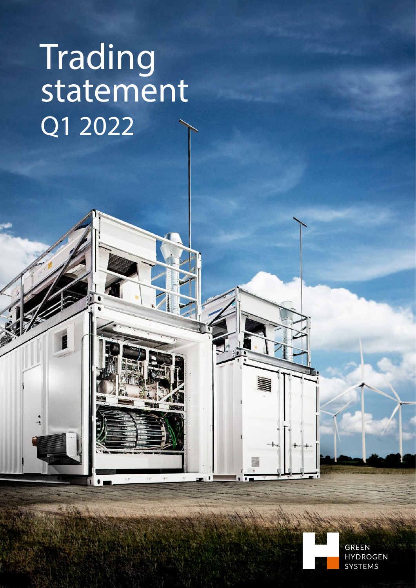# Trading statement Q1 2022

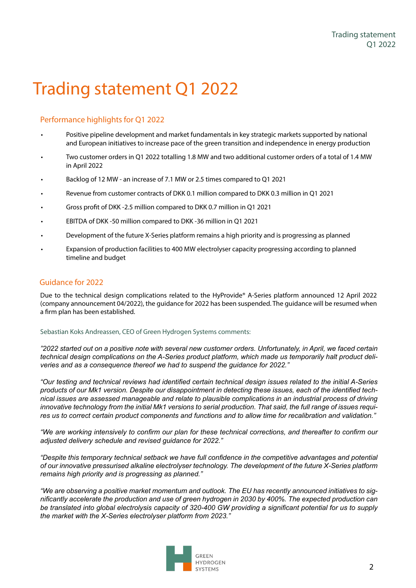### Trading statement Q1 2022

#### Performance highlights for Q1 2022

- Positive pipeline development and market fundamentals in key strategic markets supported by national and European initiatives to increase pace of the green transition and independence in energy production
- Two customer orders in Q1 2022 totalling 1.8 MW and two additional customer orders of a total of 1.4 MW in April 2022
- Backlog of 12 MW an increase of 7.1 MW or 2.5 times compared to Q1 2021
- Revenue from customer contracts of DKK 0.1 million compared to DKK 0.3 million in Q1 2021
- Gross profit of DKK -2.5 million compared to DKK 0.7 million in Q1 2021
- EBITDA of DKK -50 million compared to DKK -36 million in Q1 2021
- Development of the future X-Series platform remains a high priority and is progressing as planned
- Expansion of production facilities to 400 MW electrolyser capacity progressing according to planned timeline and budget

#### Guidance for 2022

Due to the technical design complications related to the HyProvide® A-Series platform announced 12 April 2022 (company announcement 04/2022), the guidance for 2022 has been suspended. The guidance will be resumed when a firm plan has been established.

#### Sebastian Koks Andreassen, CEO of Green Hydrogen Systems comments:

*"2022 started out on a positive note with several new customer orders. Unfortunately, in April, we faced certain technical design complications on the A-Series product platform, which made us temporarily halt product deliveries and as a consequence thereof we had to suspend the guidance for 2022."* 

*"Our testing and technical reviews had identified certain technical design issues related to the initial A-Series products of our Mk1 version. Despite our disappointment in detecting these issues, each of the identified technical issues are assessed manageable and relate to plausible complications in an industrial process of driving innovative technology from the initial Mk1 versions to serial production. That said, the full range of issues requires us to correct certain product components and functions and to allow time for recalibration and validation."*

*"We are working intensively to confirm our plan for these technical corrections, and thereafter to confirm our adjusted delivery schedule and revised guidance for 2022."*

*"Despite this temporary technical setback we have full confidence in the competitive advantages and potential of our innovative pressurised alkaline electrolyser technology. The development of the future X-Series platform remains high priority and is progressing as planned."*

*"We are observing a positive market momentum and outlook. The EU has recently announced initiatives to significantly accelerate the production and use of green hydrogen in 2030 by 400%. The expected production can be translated into global electrolysis capacity of 320-400 GW providing a significant potential for us to supply the market with the X-Series electrolyser platform from 2023."*

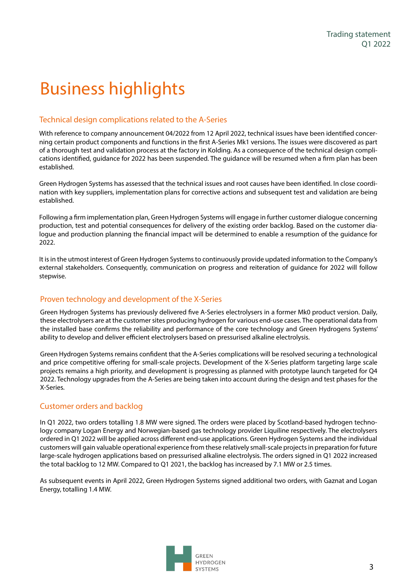### Business highlights

#### Technical design complications related to the A-Series

With reference to company announcement 04/2022 from 12 April 2022, technical issues have been identified concerning certain product components and functions in the first A-Series Mk1 versions. The issues were discovered as part of a thorough test and validation process at the factory in Kolding. As a consequence of the technical design complications identified, guidance for 2022 has been suspended. The guidance will be resumed when a firm plan has been established.

Green Hydrogen Systems has assessed that the technical issues and root causes have been identified. In close coordination with key suppliers, implementation plans for corrective actions and subsequent test and validation are being established.

Following a firm implementation plan, Green Hydrogen Systems will engage in further customer dialogue concerning production, test and potential consequences for delivery of the existing order backlog. Based on the customer dialogue and production planning the financial impact will be determined to enable a resumption of the guidance for 2022.

It is in the utmost interest of Green Hydrogen Systems to continuously provide updated information to the Company's external stakeholders. Consequently, communication on progress and reiteration of guidance for 2022 will follow stepwise.

#### Proven technology and development of the X-Series

Green Hydrogen Systems has previously delivered five A-Series electrolysers in a former Mk0 product version. Daily, these electrolysers are at the customer sites producing hydrogen for various end-use cases. The operational data from the installed base confirms the reliability and performance of the core technology and Green Hydrogens Systems' ability to develop and deliver efficient electrolysers based on pressurised alkaline electrolysis.

Green Hydrogen Systems remains confident that the A-Series complications will be resolved securing a technological and price competitive offering for small-scale projects. Development of the X-Series platform targeting large scale projects remains a high priority, and development is progressing as planned with prototype launch targeted for Q4 2022. Technology upgrades from the A-Series are being taken into account during the design and test phases for the X-Series.

#### Customer orders and backlog

In Q1 2022, two orders totalling 1.8 MW were signed. The orders were placed by Scotland-based hydrogen technology company Logan Energy and Norwegian-based gas technology provider Liquiline respectively. The electrolysers ordered in Q1 2022 will be applied across different end-use applications. Green Hydrogen Systems and the individual customers will gain valuable operational experience from these relatively small-scale projects in preparation for future large-scale hydrogen applications based on pressurised alkaline electrolysis. The orders signed in Q1 2022 increased the total backlog to 12 MW. Compared to Q1 2021, the backlog has increased by 7.1 MW or 2.5 times.

As subsequent events in April 2022, Green Hydrogen Systems signed additional two orders, with Gaznat and Logan Energy, totalling 1.4 MW.

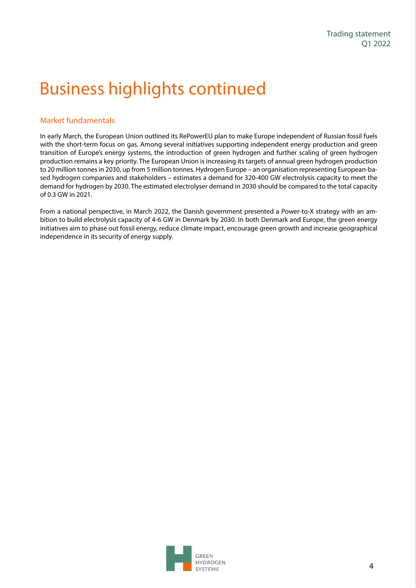### Business highlights continued

#### Market fundamentals

In early March, the European Union outlined its RePowerEU plan to make Europe independent of Russian fossil fuels with the short-term focus on gas. Among several initiatives supporting independent energy production and green transition of Europe's energy systems, the introduction of green hydrogen and further scaling of green hydrogen production remains a key priority. The European Union is increasing its targets of annual green hydrogen production to 20 million tonnes in 2030, up from 5 million tonnes. Hydrogen Europe – an organisation representing European-based hydrogen companies and stakeholders – estimates a demand for 320-400 GW electrolysis capacity to meet the demand for hydrogen by 2030. The estimated electrolyser demand in 2030 should be compared to the total capacity of 0.3 GW in 2021.

From a national perspective, in March 2022, the Danish government presented a Power-to-X strategy with an ambition to build electrolysis capacity of 4-6 GW in Denmark by 2030. In both Denmark and Europe, the green energy initiatives aim to phase out fossil energy, reduce climate impact, encourage green growth and increase geographical independence in its security of energy supply.

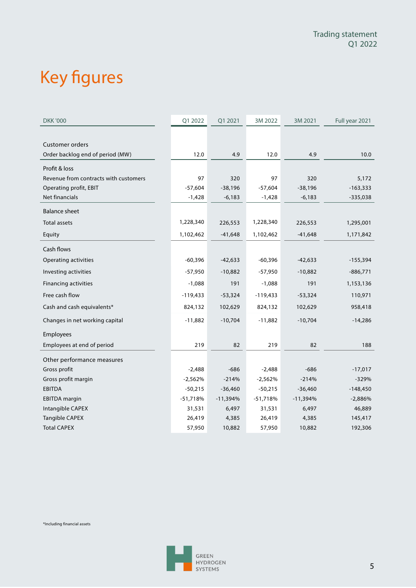## Key figures

| <b>DKK '000</b>                       | Q1 2022    | Q1 2021    | 3M 2022    | 3M 2021    | Full year 2021 |
|---------------------------------------|------------|------------|------------|------------|----------------|
|                                       |            |            |            |            |                |
| <b>Customer orders</b>                |            |            |            |            |                |
| Order backlog end of period (MW)      | 12.0       | 4.9        | 12.0       | 4.9        | 10.0           |
| Profit & loss                         |            |            |            |            |                |
| Revenue from contracts with customers | 97         | 320        | 97         | 320        | 5,172          |
| Operating profit, EBIT                | $-57,604$  | $-38,196$  | $-57,604$  | $-38,196$  | $-163,333$     |
| Net financials                        | $-1,428$   | $-6,183$   | $-1,428$   | $-6,183$   | $-335,038$     |
| <b>Balance sheet</b>                  |            |            |            |            |                |
| <b>Total assets</b>                   | 1,228,340  | 226,553    | 1,228,340  | 226,553    | 1,295,001      |
| Equity                                | 1,102,462  | $-41,648$  | 1,102,462  | $-41,648$  | 1,171,842      |
| Cash flows                            |            |            |            |            |                |
| Operating activities                  | $-60,396$  | $-42,633$  | $-60,396$  | $-42,633$  | $-155,394$     |
| Investing activities                  | $-57,950$  | $-10,882$  | $-57,950$  | $-10,882$  | $-886,771$     |
| <b>Financing activities</b>           | $-1,088$   | 191        | $-1,088$   | 191        | 1,153,136      |
| Free cash flow                        | $-119,433$ | $-53,324$  | $-119,433$ | $-53,324$  | 110,971        |
| Cash and cash equivalents*            | 824,132    | 102,629    | 824,132    | 102,629    | 958,418        |
| Changes in net working capital        | $-11,882$  | $-10,704$  | $-11,882$  | $-10,704$  | $-14,286$      |
| Employees                             |            |            |            |            |                |
| Employees at end of period            | 219        | 82         | 219        | 82         | 188            |
| Other performance measures            |            |            |            |            |                |
| Gross profit                          | $-2,488$   | $-686$     | $-2,488$   | $-686$     | $-17,017$      |
| Gross profit margin                   | $-2,562%$  | $-214%$    | $-2,562%$  | $-214%$    | $-329%$        |
| <b>EBITDA</b>                         | $-50,215$  | $-36,460$  | $-50,215$  | $-36,460$  | $-148,450$     |
| <b>EBITDA</b> margin                  | $-51,718%$ | $-11,394%$ | $-51,718%$ | $-11,394%$ | $-2,886%$      |
| Intangible CAPEX                      | 31,531     | 6,497      | 31,531     | 6,497      | 46,889         |
| <b>Tangible CAPEX</b>                 | 26,419     | 4,385      | 26,419     | 4,385      | 145,417        |
| <b>Total CAPEX</b>                    | 57,950     | 10,882     | 57,950     | 10,882     | 192,306        |

\*Including financial assets